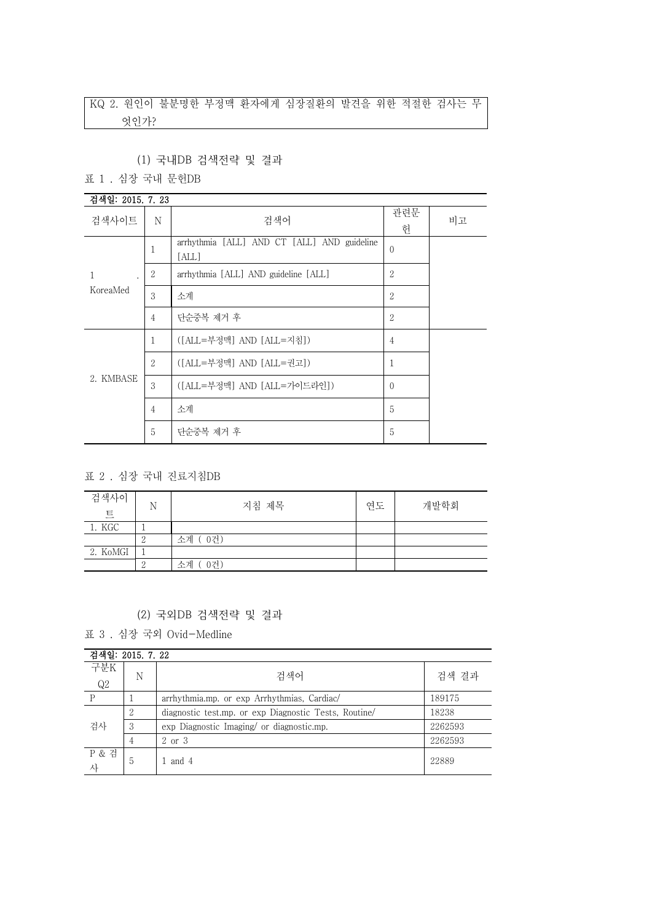# KQ 2. 원인이 불분명한 부정맥 환자에게 심장질환의 발견을 위한 적절한 검사는 무 엇인가?

## (1) 국내DB 검색전략 및 결과

표 1 . 심장 국내 문헌DB

| 검색일: 2015. 7. 23          |                |                                                      |                |    |
|---------------------------|----------------|------------------------------------------------------|----------------|----|
| 검색사이트                     | N              | 검색어                                                  | 관련문<br>헌       | 비고 |
|                           | 1              | arrhythmia [ALL] AND CT [ALL] AND guideline<br>[ALL] | $\mathbf{0}$   |    |
| 1<br>$\ddot{\phantom{0}}$ | $\overline{2}$ | arrhythmia [ALL] AND guideline [ALL]                 | $\overline{2}$ |    |
| KoreaMed                  | 3              | 소계                                                   | $\overline{2}$ |    |
|                           | $\overline{4}$ | 단순중복 제거 후                                            | $\overline{2}$ |    |
|                           | 1              | ([ALL=부정맥] AND [ALL=지침])                             | $\overline{4}$ |    |
|                           | $\overline{2}$ | ([ALL=부정맥] AND [ALL=권고])                             | 1              |    |
| 2. KMBASE                 | 3              | ([ALL=부정맥] AND [ALL=가이드라인])                          | $\Omega$       |    |
|                           | $\overline{4}$ | 소계                                                   | 5              |    |
|                           | 5              | 단순중복 제거 후                                            | 5              |    |

표 2 . 심장 국내 진료지침DB

| 검색사이<br>트 | N | 지침 제목     | 연도 | 개발학회 |
|-----------|---|-----------|----|------|
| 1. KGC    |   |           |    |      |
|           |   | 소계 (0건)   |    |      |
| 2. KoMGI  |   |           |    |      |
|           |   | 0건)<br>소계 |    |      |

### (2) 국외DB 검색전략 및 결과

표 3 . 심장 국외 Ovid-Medline

| 검색일: 2015. 7. 22 |                |                                                       |         |
|------------------|----------------|-------------------------------------------------------|---------|
| 구분K<br>Q2        | N              | 검색어                                                   | 검색 결과   |
| P                |                | arrhythmia.mp. or exp Arrhythmias, Cardiac/           | 189175  |
|                  | 2              | diagnostic test.mp. or exp Diagnostic Tests, Routine/ | 18238   |
| 검사               | 3              | exp Diagnostic Imaging/ or diagnostic.mp.             | 2262593 |
|                  | 4              | 2 or 3                                                | 2262593 |
| P & 검            | $\mathfrak{h}$ | and 4                                                 | 22889   |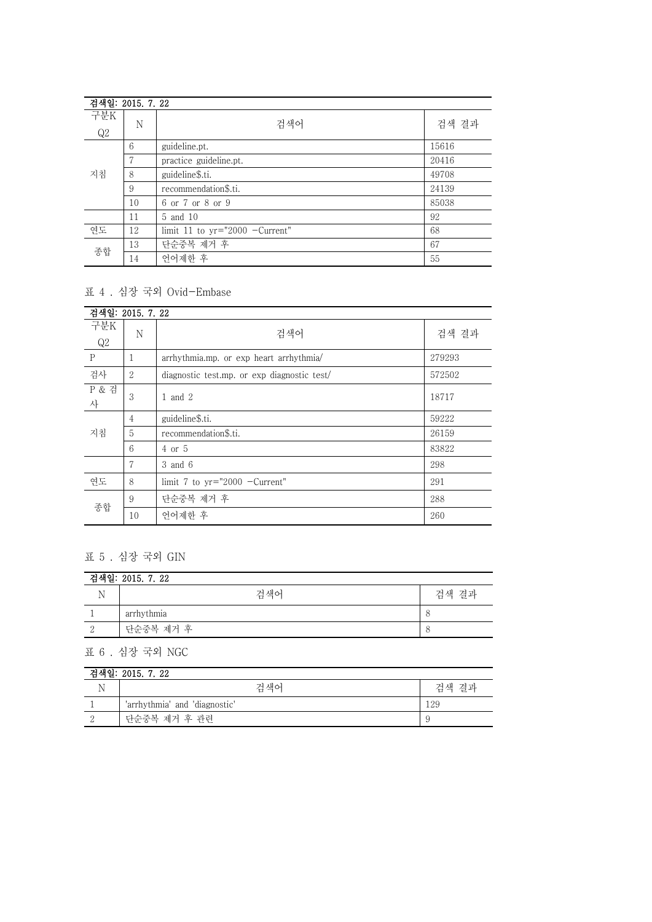| 검색일: 2015. 7. 22 |    |                                  |       |
|------------------|----|----------------------------------|-------|
| 구분K              | N  | 검색어                              | 검색 결과 |
| Q2               |    |                                  |       |
| 지침               | 6  | guideline.pt.                    | 15616 |
|                  | 7  | practice guideline.pt.           | 20416 |
|                  | 8  | guideline\$.ti.                  | 49708 |
|                  | 9  | recommendation\$.ti.             | 24139 |
|                  | 10 | 6 or 7 or 8 or 9                 | 85038 |
|                  | 11 | 5 and 10                         | 92    |
| 연도               | 12 | limit 11 to $yr="2000$ -Current" | 68    |
| 종합               | 13 | 단순중복 제거 후                        | 67    |
|                  | 14 | 언어제한 후                           | 55    |

## 표 4 . 심장 국외 Ovid-Embase

| 검색일: 2015. 7. 22      |    |                                             |        |
|-----------------------|----|---------------------------------------------|--------|
| 구분K<br>Q2             | N  | 검색어                                         | 검색 결과  |
| P                     |    | arrhythmia.mp. or exp heart arrhythmia/     | 279293 |
| 검사                    | 2  | diagnostic test.mp. or exp diagnostic test/ | 572502 |
| <b>P &amp; 검</b><br>사 | 3  | 1 and 2                                     | 18717  |
|                       | 4  | guideline\$.ti.                             | 59222  |
| 지침                    | 5  | recommendation\$.ti.                        | 26159  |
|                       | 6  | $4$ or $5$                                  | 83822  |
|                       | 7  | 3 and 6                                     | 298    |
| 연도                    | 8  | limit 7 to $yr="2000$ -Current"             | 291    |
|                       | 9  | 단순중복 제거 후                                   | 288    |
| 종합                    | 10 | 언어제한 후                                      | 260    |

# 표 5 . 심장 국외 GIN

| 검색일: 2015. 7. 22 |            |       |  |
|------------------|------------|-------|--|
|                  | 검색어        | 검색 결과 |  |
|                  | arrhythmia |       |  |
|                  | 단순중복 제거 후  |       |  |

표 6 . 심장 국외 NGC

| 검색일: 2015. 7. 22 |                               |       |  |
|------------------|-------------------------------|-------|--|
|                  | 검색어                           | 검색 결과 |  |
|                  | 'arrhythmia' and 'diagnostic' | 129   |  |
|                  | 단순중복 제거 후 관련                  |       |  |